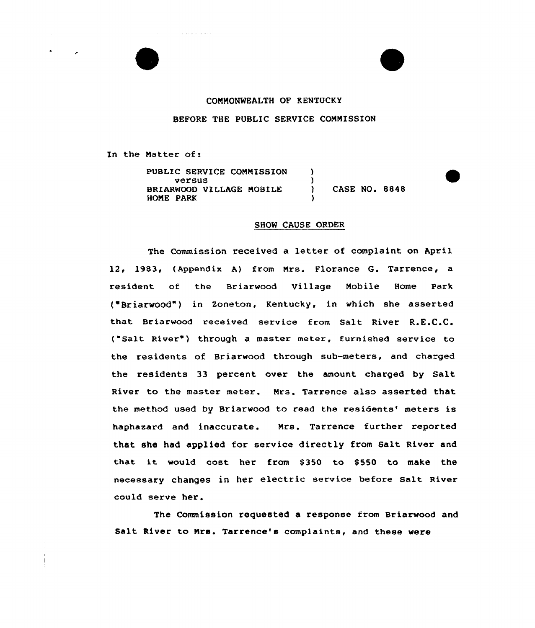## CONNONNEALTH OF KENTUCKY

BEFORE THE PUBLIC SERVICE CONNISSION

In the Matter of:

PUBLIC SERVICE CONNISSION versus BRIARWOOD VIILAGE NOBILE HONE PARK ) ) ) CASE NO. 8848 )

## SHOW CAUSE ORDER

The Commission received a letter of complaint on April 12, 1983, (Appendix A) from Nrs. Florance G. Tarrence, a resident of the Briarwood Village Nobile Home Park ("Briarwood") in Zoneton, Kentucky, in which she asserted that Briarwood received service from Salt River R.E.C.C. ("Salt River") through a master meter, furnished service to the residents of Briarwood through sub-meters, and charged the residents 33 percent over the amount charged by Salt River to the master meter. Nrs. Tarrence also asserted that the method used by Briarwood to read the residents' meters is haphasard and inaccurate. Mrs. Tarrence further reported that she had applied for service directly from Salt River and that it would cost her from \$350 to \$550 to make the necessary changes in her electric service before salt River could serve her.

The Commission requested a response from Briarwood and Salt River to Nrs. Tarrence's complaints, and these were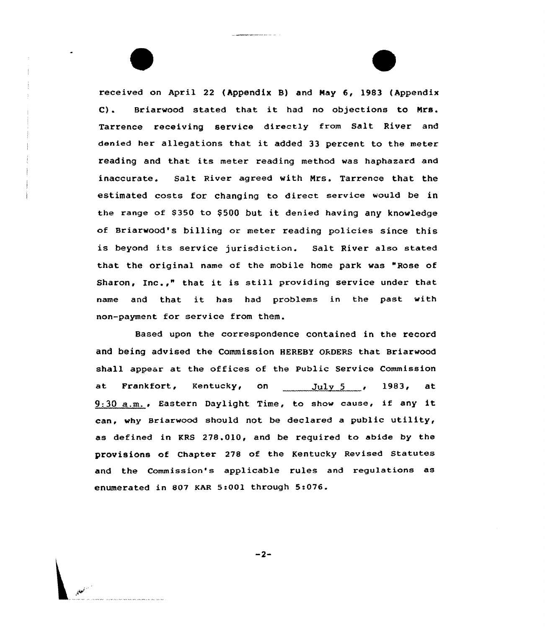received on April 22 (Appendix B) and Nay 6, 1983 (Appendix C). Briarwood stated that it had no objections to Nrs. Tarrence receiving service directly from Salt River and denied her allegations that it added <sup>33</sup> percent to the meter reading and that its meter reading method was haphazard and inaccurate. Salt River agreed with Mrs. Tarrence that the estimated costs for changing to direct service would be in the range of \$350 to \$500 but it denied having any knowledge of Briarwood's billing or meter reading policies since this is beyond its service jurisdiction. Salt River also stated that the original name of the mobile home park was "Rose of Sharon, Inc.," that it is still providing service under that name and that it has had problems in the past with non-payment for service from them.

Based upon the correspondence contained in the record and being advised the Commission HEREBY ORDERS that Briarwood shall appear at the offices of the Public Service Commission at Frankfort, Kentucky, on <u>July 5</u> , 1983, at  $9:30$  a.m., Eastern Daylight Time, to show cause, if any it can, why Briarwood should not be declared a public utility, as defined in KRS 278.010, and be required to abide by the provisions of Chapter 278 of the Kentucky Revised Statutes and the Commission's applicable rules and regulations as enumerated in 807 KAR 5:00) through 5:076.

 $-2-$